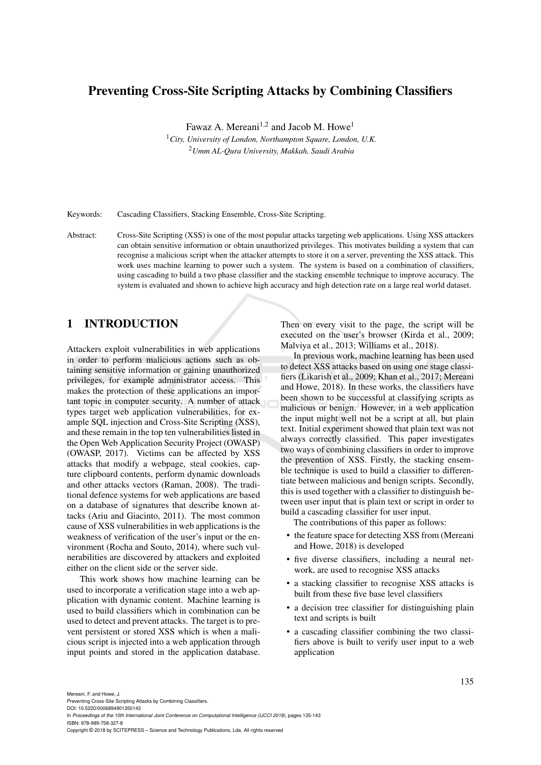# Preventing Cross-Site Scripting Attacks by Combining Classifiers

Fawaz A. Mereani<sup>1,2</sup> and Jacob M. Howe<sup>1</sup>

<sup>1</sup>*City, University of London, Northampton Square, London, U.K.* <sup>2</sup>*Umm AL-Qura University, Makkah, Saudi Arabia*

Keywords: Cascading Classifiers, Stacking Ensemble, Cross-Site Scripting.

Abstract: Cross-Site Scripting (XSS) is one of the most popular attacks targeting web applications. Using XSS attackers can obtain sensitive information or obtain unauthorized privileges. This motivates building a system that can recognise a malicious script when the attacker attempts to store it on a server, preventing the XSS attack. This work uses machine learning to power such a system. The system is based on a combination of classifiers, using cascading to build a two phase classifier and the stacking ensemble technique to improve accuracy. The system is evaluated and shown to achieve high accuracy and high detection rate on a large real world dataset.

# 1 INTRODUCTION

Attackers exploit vulnerabilities in web applications in order to perform malicious actions such as obtaining sensitive information or gaining unauthorized privileges, for example administrator access. This makes the protection of these applications an important topic in computer security. A number of attack types target web application vulnerabilities, for example SQL injection and Cross-Site Scripting (XSS), and these remain in the top ten vulnerabilities listed in the Open Web Application Security Project (OWASP) (OWASP, 2017). Victims can be affected by XSS attacks that modify a webpage, steal cookies, capture clipboard contents, perform dynamic downloads and other attacks vectors (Raman, 2008). The traditional defence systems for web applications are based on a database of signatures that describe known attacks (Ariu and Giacinto, 2011). The most common cause of XSS vulnerabilities in web applications is the weakness of verification of the user's input or the environment (Rocha and Souto, 2014), where such vulnerabilities are discovered by attackers and exploited either on the client side or the server side.

This work shows how machine learning can be used to incorporate a verification stage into a web application with dynamic content. Machine learning is used to build classifiers which in combination can be used to detect and prevent attacks. The target is to prevent persistent or stored XSS which is when a malicious script is injected into a web application through input points and stored in the application database.

Then on every visit to the page, the script will be executed on the user's browser (Kirda et al., 2009; Malviya et al., 2013; Williams et al., 2018).

In previous work, machine learning has been used to detect XSS attacks based on using one stage classifiers (Likarish et al., 2009; Khan et al., 2017; Mereani and Howe, 2018). In these works, the classifiers have been shown to be successful at classifying scripts as malicious or benign. However, in a web application the input might well not be a script at all, but plain text. Initial experiment showed that plain text was not always correctly classified. This paper investigates two ways of combining classifiers in order to improve the prevention of XSS. Firstly, the stacking ensemble technique is used to build a classifier to differentiate between malicious and benign scripts. Secondly, this is used together with a classifier to distinguish between user input that is plain text or script in order to build a cascading classifier for user input.

The contributions of this paper as follows:

- the feature space for detecting XSS from (Mereani and Howe, 2018) is developed
- five diverse classifiers, including a neural network, are used to recognise XSS attacks
- a stacking classifier to recognise XSS attacks is built from these five base level classifiers
- a decision tree classifier for distinguishing plain text and scripts is built
- a cascading classifier combining the two classifiers above is built to verify user input to a web application

Mereani, F. and Howe, J.

Preventing Cross-Site Scripting Attacks by Combining Classifiers. DOI: 10.5220/0006894901350143

In *Proceedings of the 10th International Joint Conference on Computational Intelligence (IJCCI 2018)*, pages 135-143 ISBN: 978-989-758-327-8

Copyright © 2018 by SCITEPRESS – Science and Technology Publications, Lda. All rights reserved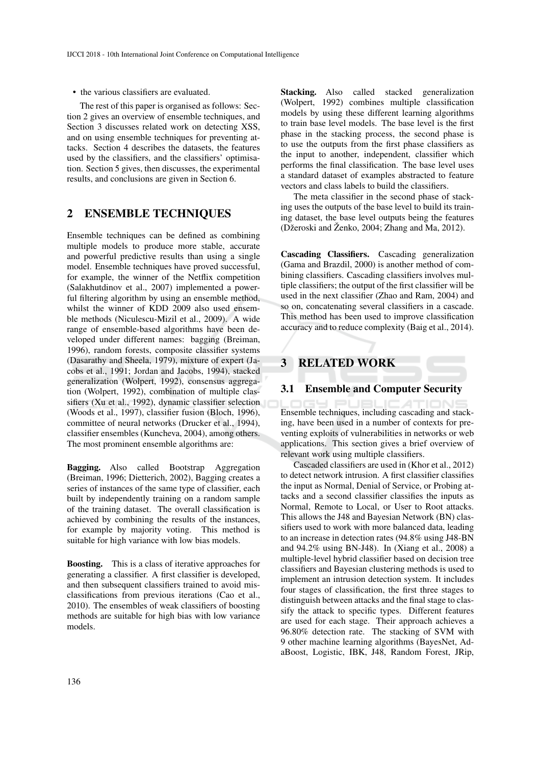• the various classifiers are evaluated.

The rest of this paper is organised as follows: Section 2 gives an overview of ensemble techniques, and Section 3 discusses related work on detecting XSS, and on using ensemble techniques for preventing attacks. Section 4 describes the datasets, the features used by the classifiers, and the classifiers' optimisation. Section 5 gives, then discusses, the experimental results, and conclusions are given in Section 6.

# 2 ENSEMBLE TECHNIQUES

Ensemble techniques can be defined as combining multiple models to produce more stable, accurate and powerful predictive results than using a single model. Ensemble techniques have proved successful, for example, the winner of the Netflix competition (Salakhutdinov et al., 2007) implemented a powerful filtering algorithm by using an ensemble method, whilst the winner of KDD 2009 also used ensemble methods (Niculescu-Mizil et al., 2009). A wide range of ensemble-based algorithms have been developed under different names: bagging (Breiman, 1996), random forests, composite classifier systems (Dasarathy and Sheela, 1979), mixture of expert (Jacobs et al., 1991; Jordan and Jacobs, 1994), stacked generalization (Wolpert, 1992), consensus aggregation (Wolpert, 1992), combination of multiple classifiers (Xu et al., 1992), dynamic classifier selection (Woods et al., 1997), classifier fusion (Bloch, 1996), committee of neural networks (Drucker et al., 1994), classifier ensembles (Kuncheva, 2004), among others. The most prominent ensemble algorithms are:

Bagging. Also called Bootstrap Aggregation (Breiman, 1996; Dietterich, 2002), Bagging creates a series of instances of the same type of classifier, each built by independently training on a random sample of the training dataset. The overall classification is achieved by combining the results of the instances, for example by majority voting. This method is suitable for high variance with low bias models.

Boosting. This is a class of iterative approaches for generating a classifier. A first classifier is developed, and then subsequent classifiers trained to avoid misclassifications from previous iterations (Cao et al., 2010). The ensembles of weak classifiers of boosting methods are suitable for high bias with low variance models.

Stacking. Also called stacked generalization (Wolpert, 1992) combines multiple classification models by using these different learning algorithms to train base level models. The base level is the first phase in the stacking process, the second phase is to use the outputs from the first phase classifiers as the input to another, independent, classifier which performs the final classification. The base level uses a standard dataset of examples abstracted to feature vectors and class labels to build the classifiers.

The meta classifier in the second phase of stacking uses the outputs of the base level to build its training dataset, the base level outputs being the features (Džeroski and Ženko, 2004; Zhang and Ma, 2012).

Cascading Classifiers. Cascading generalization (Gama and Brazdil, 2000) is another method of combining classifiers. Cascading classifiers involves multiple classifiers; the output of the first classifier will be used in the next classifier (Zhao and Ram, 2004) and so on, concatenating several classifiers in a cascade. This method has been used to improve classification accuracy and to reduce complexity (Baig et al., 2014).

# 3 RELATED WORK

## 3.1 Ensemble and Computer Security

Ensemble techniques, including cascading and stacking, have been used in a number of contexts for preventing exploits of vulnerabilities in networks or web applications. This section gives a brief overview of relevant work using multiple classifiers.

Cascaded classifiers are used in (Khor et al., 2012) to detect network intrusion. A first classifier classifies the input as Normal, Denial of Service, or Probing attacks and a second classifier classifies the inputs as Normal, Remote to Local, or User to Root attacks. This allows the J48 and Bayesian Network (BN) classifiers used to work with more balanced data, leading to an increase in detection rates (94.8% using J48-BN and 94.2% using BN-J48). In (Xiang et al., 2008) a multiple-level hybrid classifier based on decision tree classifiers and Bayesian clustering methods is used to implement an intrusion detection system. It includes four stages of classification, the first three stages to distinguish between attacks and the final stage to classify the attack to specific types. Different features are used for each stage. Their approach achieves a 96.80% detection rate. The stacking of SVM with 9 other machine learning algorithms (BayesNet, AdaBoost, Logistic, IBK, J48, Random Forest, JRip,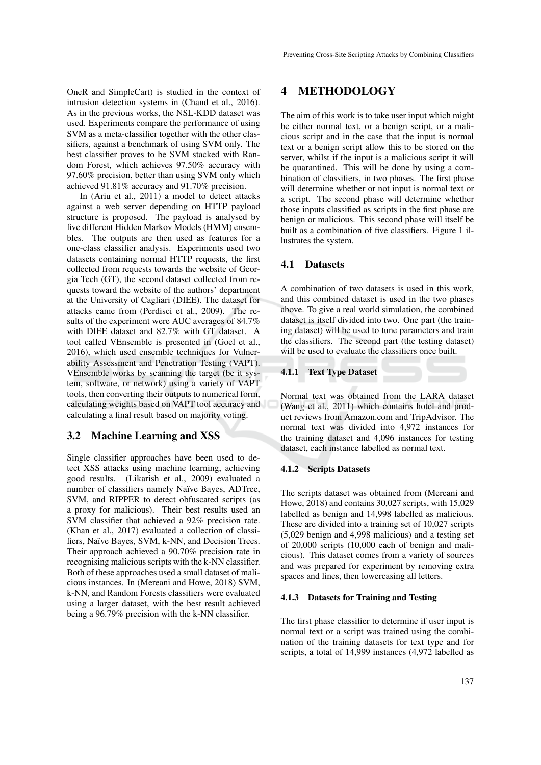OneR and SimpleCart) is studied in the context of intrusion detection systems in (Chand et al., 2016). As in the previous works, the NSL-KDD dataset was used. Experiments compare the performance of using SVM as a meta-classifier together with the other classifiers, against a benchmark of using SVM only. The best classifier proves to be SVM stacked with Random Forest, which achieves 97.50% accuracy with 97.60% precision, better than using SVM only which achieved 91.81% accuracy and 91.70% precision.

In (Ariu et al., 2011) a model to detect attacks against a web server depending on HTTP payload structure is proposed. The payload is analysed by five different Hidden Markov Models (HMM) ensembles. The outputs are then used as features for a one-class classifier analysis. Experiments used two datasets containing normal HTTP requests, the first collected from requests towards the website of Georgia Tech (GT), the second dataset collected from requests toward the website of the authors' department at the University of Cagliari (DIEE). The dataset for attacks came from (Perdisci et al., 2009). The results of the experiment were AUC averages of 84.7% with DIEE dataset and 82.7% with GT dataset. A tool called VEnsemble is presented in (Goel et al., 2016), which used ensemble techniques for Vulnerability Assessment and Penetration Testing (VAPT). VEnsemble works by scanning the target (be it system, software, or network) using a variety of VAPT tools, then converting their outputs to numerical form, calculating weights based on VAPT tool accuracy and calculating a final result based on majority voting.

## 3.2 Machine Learning and XSS

Single classifier approaches have been used to detect XSS attacks using machine learning, achieving good results. (Likarish et al., 2009) evaluated a number of classifiers namely Naïve Bayes, ADTree, SVM, and RIPPER to detect obfuscated scripts (as a proxy for malicious). Their best results used an SVM classifier that achieved a 92% precision rate. (Khan et al., 2017) evaluated a collection of classifiers, Naïve Bayes, SVM, k-NN, and Decision Trees. Their approach achieved a 90.70% precision rate in recognising malicious scripts with the k-NN classifier. Both of these approaches used a small dataset of malicious instances. In (Mereani and Howe, 2018) SVM, k-NN, and Random Forests classifiers were evaluated using a larger dataset, with the best result achieved being a 96.79% precision with the k-NN classifier.

# 4 METHODOLOGY

The aim of this work is to take user input which might be either normal text, or a benign script, or a malicious script and in the case that the input is normal text or a benign script allow this to be stored on the server, whilst if the input is a malicious script it will be quarantined. This will be done by using a combination of classifiers, in two phases. The first phase will determine whether or not input is normal text or a script. The second phase will determine whether those inputs classified as scripts in the first phase are benign or malicious. This second phase will itself be built as a combination of five classifiers. Figure 1 illustrates the system.

## 4.1 Datasets

A combination of two datasets is used in this work, and this combined dataset is used in the two phases above. To give a real world simulation, the combined dataset is itself divided into two. One part (the training dataset) will be used to tune parameters and train the classifiers. The second part (the testing dataset) will be used to evaluate the classifiers once built.

## 4.1.1 Text Type Dataset

Normal text was obtained from the LARA dataset (Wang et al., 2011) which contains hotel and product reviews from Amazon.com and TripAdvisor. The normal text was divided into 4,972 instances for the training dataset and 4,096 instances for testing dataset, each instance labelled as normal text.

#### 4.1.2 Scripts Datasets

The scripts dataset was obtained from (Mereani and Howe, 2018) and contains 30,027 scripts, with 15,029 labelled as benign and 14,998 labelled as malicious. These are divided into a training set of 10,027 scripts (5,029 benign and 4,998 malicious) and a testing set of 20,000 scripts (10,000 each of benign and malicious). This dataset comes from a variety of sources and was prepared for experiment by removing extra spaces and lines, then lowercasing all letters.

#### 4.1.3 Datasets for Training and Testing

The first phase classifier to determine if user input is normal text or a script was trained using the combination of the training datasets for text type and for scripts, a total of 14,999 instances (4,972 labelled as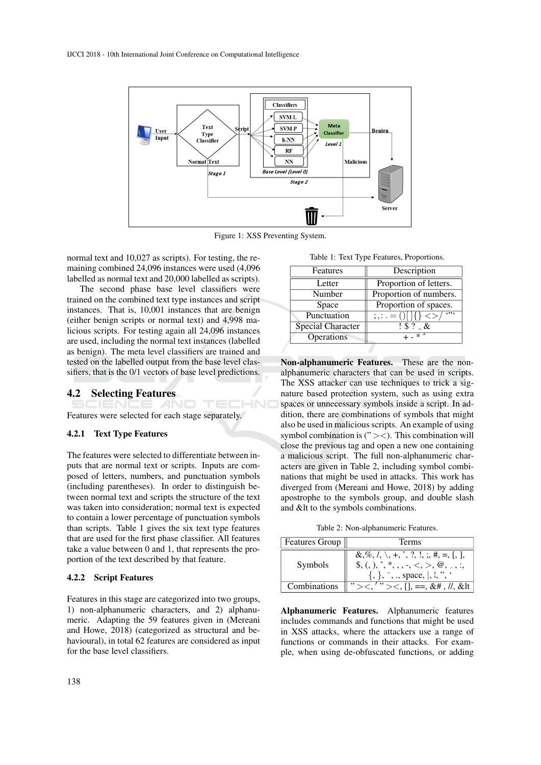

Figure 1: XSS Preventing System.

TECHNO

normal text and 10,027 as scripts). For testing, the remaining combined 24,096 instances were used (4,096 labelled as normal text and 20,000 labelled as scripts).

The second phase base level classifiers were trained on the combined text type instances and script instances. That is, 10,001 instances that are benign (either benign scripts or normal text) and 4,998 malicious scripts. For testing again all 24,096 instances are used, including the normal text instances (labelled as benign). The meta level classifiers are trained and tested on the labelled output from the base level classifiers, that is the 0/1 vectors of base level predictions.

## 4.2 Selecting Features

Features were selected for each stage separately.

#### 4.2.1 Text Type Features

The features were selected to differentiate between inputs that are normal text or scripts. Inputs are composed of letters, numbers, and punctuation symbols (including parentheses). In order to distinguish between normal text and scripts the structure of the text was taken into consideration; normal text is expected to contain a lower percentage of punctuation symbols than scripts. Table 1 gives the six text type features that are used for the first phase classifier. All features take a value between 0 and 1, that represents the proportion of the text described by that feature.

#### 4.2.2 Script Features

Features in this stage are categorized into two groups, 1) non-alphanumeric characters, and 2) alphanumeric. Adapting the 59 features given in (Mereani and Howe, 2018) (categorized as structural and behavioural), in total 62 features are considered as input for the base level classifiers.

Table 1: Text Type Features, Proportions.

| Description                                                                                          |
|------------------------------------------------------------------------------------------------------|
| Proportion of letters.                                                                               |
| Proportion of numbers.                                                                               |
| Proportion of spaces.                                                                                |
| 6996<br>$\frac{1}{2}$ , $\frac{1}{2}$ = ()   $\frac{1}{2}$ $\frac{1}{2}$ $\frac{1}{2}$ $\frac{1}{2}$ |
| $1$ \$ ? $-$ &                                                                                       |
| $+ -$ * <sup>*</sup>                                                                                 |
|                                                                                                      |

Non-alphanumeric Features. These are the nonalphanumeric characters that can be used in scripts. The XSS attacker can use techniques to trick a signature based protection system, such as using extra spaces or unnecessary symbols inside a script. In addition, there are combinations of symbols that might also be used in malicious scripts. An example of using symbol combination is  $($ "  $><$ ). This combination will close the previous tag and open a new one containing a malicious script. The full non-alphanumeric characters are given in Table 2, including symbol combinations that might be used in attacks. This work has diverged from (Mereani and Howe, 2018) by adding apostrophe to the symbols group, and double slash and &It to the symbols combinations.

Table 2: Non-alphanumeric Features.

| <b>Features Group</b> | Terms                                                                                                                               |
|-----------------------|-------------------------------------------------------------------------------------------------------------------------------------|
| Symbols               | $\&$ ,%, $\langle$ , $\rangle$ , +, ', ?, !, ;, #, =, [, ],<br>$\{,\}, \tilde{}, \ldots$ , space, $\langle, \cdot, \cdot \rangle$ , |
| Combinations          | ,,<br>" ><, [], ==, &#, //, &lt</td></tr></tbody></table>                                                                           |

Alphanumeric Features. Alphanumeric features includes commands and functions that might be used in XSS attacks, where the attackers use a range of functions or commands in their attacks. For example, when using de-obfuscated functions, or adding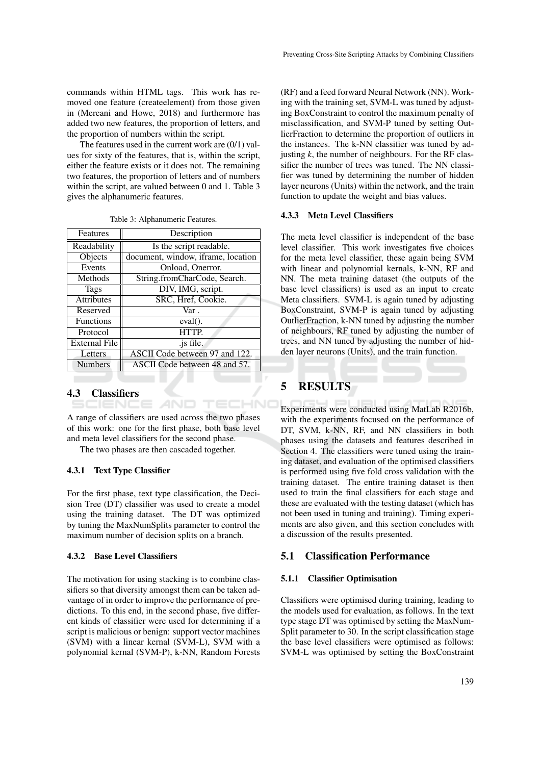commands within HTML tags. This work has removed one feature (createelement) from those given in (Mereani and Howe, 2018) and furthermore has added two new features, the proportion of letters, and the proportion of numbers within the script.

The features used in the current work are  $(0/1)$  values for sixty of the features, that is, within the script, either the feature exists or it does not. The remaining two features, the proportion of letters and of numbers within the script, are valued between 0 and 1. Table 3 gives the alphanumeric features.

| Features             | Description                        |
|----------------------|------------------------------------|
| Readability          | Is the script readable.            |
| Objects              | document, window, iframe, location |
| Events               | Onload, Onerror.                   |
| Methods              | String.fromCharCode, Search.       |
| <b>Tags</b>          | DIV, IMG, script.                  |
| <b>Attributes</b>    | SRC, Href, Cookie.                 |
| Reserved             | Var.                               |
| <b>Functions</b>     | $eval()$ .                         |
| Protocol             | <b>HTTP</b>                        |
| <b>External File</b> | .js file.                          |
| Letters              | ASCII Code between 97 and 122.     |
| <b>Numbers</b>       | ASCII Code between 48 and 57.      |

Table 3: Alphanumeric Features.

# 4.3 Classifiers

A range of classifiers are used across the two phases of this work: one for the first phase, both base level and meta level classifiers for the second phase.

The two phases are then cascaded together.

#### 4.3.1 Text Type Classifier

For the first phase, text type classification, the Decision Tree (DT) classifier was used to create a model using the training dataset. The DT was optimized by tuning the MaxNumSplits parameter to control the maximum number of decision splits on a branch.

#### 4.3.2 Base Level Classifiers

The motivation for using stacking is to combine classifiers so that diversity amongst them can be taken advantage of in order to improve the performance of predictions. To this end, in the second phase, five different kinds of classifier were used for determining if a script is malicious or benign: support vector machines (SVM) with a linear kernal (SVM-L), SVM with a polynomial kernal (SVM-P), k-NN, Random Forests

(RF) and a feed forward Neural Network (NN). Working with the training set, SVM-L was tuned by adjusting BoxConstraint to control the maximum penalty of misclassification, and SVM-P tuned by setting OutlierFraction to determine the proportion of outliers in the instances. The k-NN classifier was tuned by adjusting  $k$ , the number of neighbours. For the RF classifier the number of trees was tuned. The NN classifier was tuned by determining the number of hidden layer neurons (Units) within the network, and the train function to update the weight and bias values.

## 4.3.3 Meta Level Classifiers

The meta level classifier is independent of the base level classifier. This work investigates five choices for the meta level classifier, these again being SVM with linear and polynomial kernals, k-NN, RF and NN. The meta training dataset (the outputs of the base level classifiers) is used as an input to create Meta classifiers. SVM-L is again tuned by adjusting BoxConstraint, SVM-P is again tuned by adjusting OutlierFraction, k-NN tuned by adjusting the number of neighbours, RF tuned by adjusting the number of trees, and NN tuned by adjusting the number of hidden layer neurons (Units), and the train function.

# 5 RESULTS

HNC

TEC

Experiments were conducted using MatLab R2016b, with the experiments focused on the performance of DT, SVM, k-NN, RF, and NN classifiers in both phases using the datasets and features described in Section 4. The classifiers were tuned using the training dataset, and evaluation of the optimised classifiers is performed using five fold cross validation with the training dataset. The entire training dataset is then used to train the final classifiers for each stage and these are evaluated with the testing dataset (which has not been used in tuning and training). Timing experiments are also given, and this section concludes with a discussion of the results presented.

#### 5.1 Classification Performance

#### 5.1.1 Classifier Optimisation

Classifiers were optimised during training, leading to the models used for evaluation, as follows. In the text type stage DT was optimised by setting the MaxNum-Split parameter to 30. In the script classification stage the base level classifiers were optimised as follows: SVM-L was optimised by setting the BoxConstraint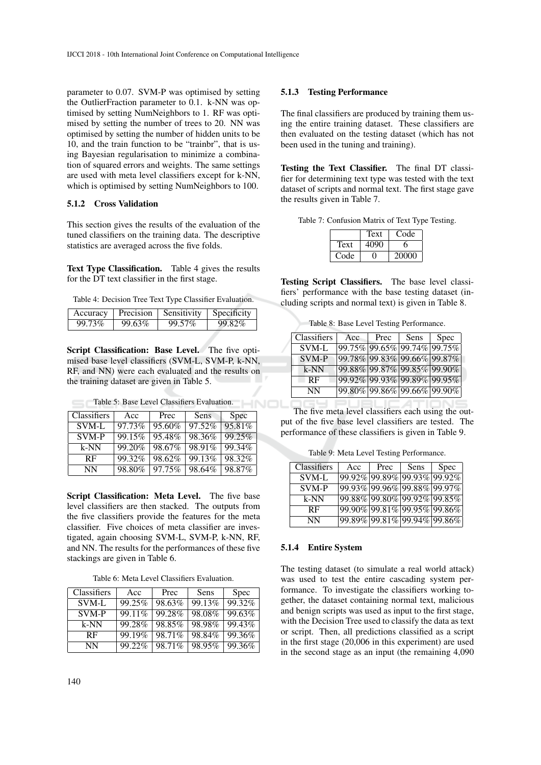parameter to 0.07. SVM-P was optimised by setting the OutlierFraction parameter to 0.1. k-NN was optimised by setting NumNeighbors to 1. RF was optimised by setting the number of trees to 20. NN was optimised by setting the number of hidden units to be 10, and the train function to be "trainbr", that is using Bayesian regularisation to minimize a combination of squared errors and weights. The same settings are used with meta level classifiers except for k-NN, which is optimised by setting NumNeighbors to 100.

## 5.1.2 Cross Validation

This section gives the results of the evaluation of the tuned classifiers on the training data. The descriptive statistics are averaged across the five folds.

Text Type Classification. Table 4 gives the results for the DT text classifier in the first stage.

Table 4: Decision Tree Text Type Classifier Evaluation.

| Accuracy |        | Precision Sensitivity Specificity |        |
|----------|--------|-----------------------------------|--------|
| 99.73%   | 99.63% | 99.57%                            | 99.82% |

Script Classification: Base Level. The five optimised base level classifiers (SVM-L, SVM-P, k-NN, RF, and NN) were each evaluated and the results on the training dataset are given in Table 5.

| Classifiers | Acc    | Prec   | Sens   | Spec      |
|-------------|--------|--------|--------|-----------|
| SVM-L       | 97.73% | 95.60% | 97.52% | 95.81%    |
| SVM-P       | 99.15% | 95.48% | 98.36% | 99.25%    |
| $k-NN$      | 99.20% | 98.67% | 98.91% | 99.34%    |
| <b>RF</b>   | 99.32% | 98.62% | 99.13% | 98.32%    |
| NN          | 98.80% | 97.75% | 98.64% | $98.87\%$ |

Table 5: Base Level Classifiers Evaluation.

Script Classification: Meta Level. The five base level classifiers are then stacked. The outputs from the five classifiers provide the features for the meta classifier. Five choices of meta classifier are investigated, again choosing SVM-L, SVM-P, k-NN, RF, and NN. The results for the performances of these five stackings are given in Table 6.

Table 6: Meta Level Classifiers Evaluation.

| Classifiers | Acc    | Prec   | Sens   | <b>Spec</b> |
|-------------|--------|--------|--------|-------------|
| SVM-L       | 99.25% | 98.63% | 99.13% | 99.32%      |
| SVM-P       | 99.11% | 99.28% | 98.08% | 99.63%      |
| k-NN        | 99.28% | 98.85% | 98.98% | 99.43%      |
| <b>RF</b>   | 99.19% | 98.71% | 98.84% | 99.36%      |
| <b>NN</b>   | 99.22% | 98.71% | 98.95% | 99.36%      |

#### 5.1.3 Testing Performance

The final classifiers are produced by training them using the entire training dataset. These classifiers are then evaluated on the testing dataset (which has not been used in the tuning and training).

Testing the Text Classifier. The final DT classifier for determining text type was tested with the text dataset of scripts and normal text. The first stage gave the results given in Table 7.

Table 7: Confusion Matrix of Text Type Testing.

|      | Text | Code  |
|------|------|-------|
| Text |      |       |
| Code |      | 20000 |

Testing Script Classifiers. The base level classifiers' performance with the base testing dataset (including scripts and normal text) is given in Table 8.

Table 8: Base Level Testing Performance.

| Classifiers  | Acc                         | Prec | Sens                        | <b>Spec</b> |
|--------------|-----------------------------|------|-----------------------------|-------------|
| <b>SVM-L</b> | 99.75% 99.65% 99.74% 99.75% |      |                             |             |
| SVM-P        | 99.78% 99.83% 99.66% 99.87% |      |                             |             |
| $k-NN$       |                             |      | 99.88% 99.87% 99.85% 99.90% |             |
| <b>RF</b>    | 99.92% 99.93% 99.89% 99.95% |      |                             |             |
| NN           | 99.80% 99.86% 99.66% 99.90% |      |                             |             |

The five meta level classifiers each using the output of the five base level classifiers are tested. The performance of these classifiers is given in Table 9.

Table 9: Meta Level Testing Performance.

| Classifiers | Acc                         | Prec | Sens | <b>Spec</b> |
|-------------|-----------------------------|------|------|-------------|
| SVM-L       | 99.92% 99.89% 99.93% 99.92% |      |      |             |
| SVM-P       | 99.93% 99.96% 99.88% 99.97% |      |      |             |
| $k-NN$      | 99.88% 99.80% 99.92% 99.85% |      |      |             |
| <b>RF</b>   | 99.90% 99.81% 99.95% 99.86% |      |      |             |
| NN          | 99.89% 99.81% 99.94% 99.86% |      |      |             |

#### 5.1.4 Entire System

The testing dataset (to simulate a real world attack) was used to test the entire cascading system performance. To investigate the classifiers working together, the dataset containing normal text, malicious and benign scripts was used as input to the first stage, with the Decision Tree used to classify the data as text or script. Then, all predictions classified as a script in the first stage (20,006 in this experiment) are used in the second stage as an input (the remaining 4,090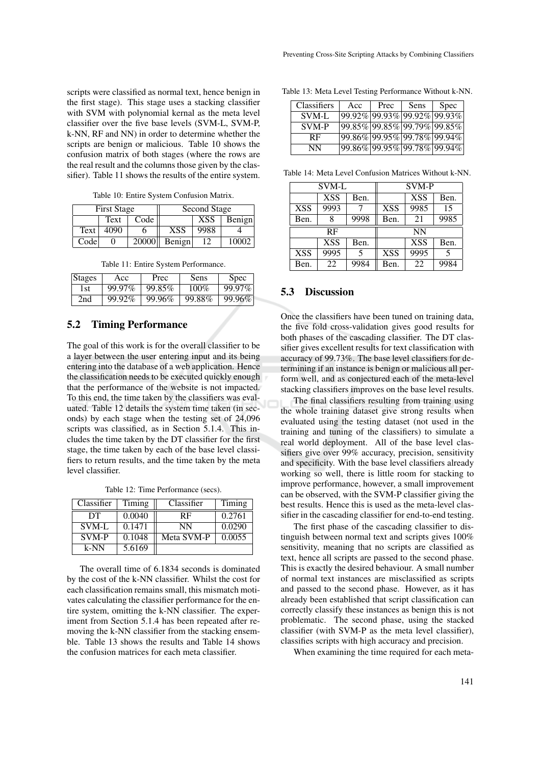scripts were classified as normal text, hence benign in the first stage). This stage uses a stacking classifier with SVM with polynomial kernal as the meta level classifier over the five base levels (SVM-L, SVM-P, k-NN, RF and NN) in order to determine whether the scripts are benign or malicious. Table 10 shows the confusion matrix of both stages (where the rows are the real result and the columns those given by the classifier). Table 11 shows the results of the entire system.

Table 10: Entire System Confusion Matrix.

|      | <b>First Stage</b> |       |            | Second Stage |        |
|------|--------------------|-------|------------|--------------|--------|
|      | Text               | Code  |            | <b>XSS</b>   | Benign |
| Text | 4090               |       | <b>XSS</b> | 9988         |        |
| Code |                    | 20000 | Benign     | 12           | 10002  |

Table 11: Entire System Performance.

| Stages | Acc    | Prec   | Sens    | <b>Spec</b> |
|--------|--------|--------|---------|-------------|
| 1st    | 99.97% | 99.85% | $100\%$ | 99.97%      |
| 2nd    | 99.92% | 99.96% | 99.88%  | 99.96%      |

## 5.2 Timing Performance

The goal of this work is for the overall classifier to be a layer between the user entering input and its being entering into the database of a web application. Hence the classification needs to be executed quickly enough that the performance of the website is not impacted. To this end, the time taken by the classifiers was evaluated. Table 12 details the system time taken (in seconds) by each stage when the testing set of 24,096 scripts was classified, as in Section 5.1.4. This includes the time taken by the DT classifier for the first stage, the time taken by each of the base level classifiers to return results, and the time taken by the meta level classifier.

Table 12: Time Performance (secs).

| Classifier   | Timing | Classifier | Timing |
|--------------|--------|------------|--------|
| DТ           | 0.0040 | <b>RF</b>  | 0.2761 |
| SVM-L        | 0.1471 | NN         | 0.0290 |
| <b>SVM-P</b> | 0.1048 | Meta SVM-P | 0.0055 |
| k-NN         | 5.6169 |            |        |

The overall time of 6.1834 seconds is dominated by the cost of the k-NN classifier. Whilst the cost for each classification remains small, this mismatch motivates calculating the classifier performance for the entire system, omitting the k-NN classifier. The experiment from Section 5.1.4 has been repeated after removing the k-NN classifier from the stacking ensemble. Table 13 shows the results and Table 14 shows the confusion matrices for each meta classifier.

Table 13: Meta Level Testing Performance Without k-NN.

| <b>Classifiers</b> | Acc                         | Prec                        | Sens | <b>Spec</b> |
|--------------------|-----------------------------|-----------------------------|------|-------------|
| SVM-L              | 99.92% 99.93% 99.92% 99.93% |                             |      |             |
| SVM-P              | 99.85% 99.85% 99.79% 99.85% |                             |      |             |
| <b>RF</b>          | 99.86% 99.95% 99.78% 99.94% |                             |      |             |
| NN                 |                             | 99.86% 99.95% 99.78% 99.94% |      |             |

Table 14: Meta Level Confusion Matrices Without k-NN.

| SVM-L      |            |      | SVM-P      |            |      |
|------------|------------|------|------------|------------|------|
|            | <b>XSS</b> | Ben. |            | <b>XSS</b> | Ben. |
| <b>XSS</b> | 9993       |      | <b>XSS</b> | 9985       | 15   |
| Ben.       | 8          | 9998 | Ben.       | 21         | 9985 |
|            |            |      |            |            |      |
|            | RF         |      |            | <b>NN</b>  |      |
|            | <b>XSS</b> | Ben. |            | <b>XSS</b> | Ben. |
| <b>XSS</b> | 9995       | 5    | <b>XSS</b> | 9995       | 5    |

## 5.3 Discussion

Once the classifiers have been tuned on training data, the five fold cross-validation gives good results for both phases of the cascading classifier. The DT classifier gives excellent results for text classification with accuracy of 99.73%. The base level classifiers for determining if an instance is benign or malicious all perform well, and as conjectured each of the meta-level stacking classifiers improves on the base level results.

The final classifiers resulting from training using the whole training dataset give strong results when evaluated using the testing dataset (not used in the training and tuning of the classifiers) to simulate a real world deployment. All of the base level classifiers give over 99% accuracy, precision, sensitivity and specificity. With the base level classifiers already working so well, there is little room for stacking to improve performance, however, a small improvement can be observed, with the SVM-P classifier giving the best results. Hence this is used as the meta-level classifier in the cascading classifier for end-to-end testing.

The first phase of the cascading classifier to distinguish between normal text and scripts gives 100% sensitivity, meaning that no scripts are classified as text, hence all scripts are passed to the second phase. This is exactly the desired behaviour. A small number of normal text instances are misclassified as scripts and passed to the second phase. However, as it has already been established that script classification can correctly classify these instances as benign this is not problematic. The second phase, using the stacked classifier (with SVM-P as the meta level classifier), classifies scripts with high accuracy and precision.

When examining the time required for each meta-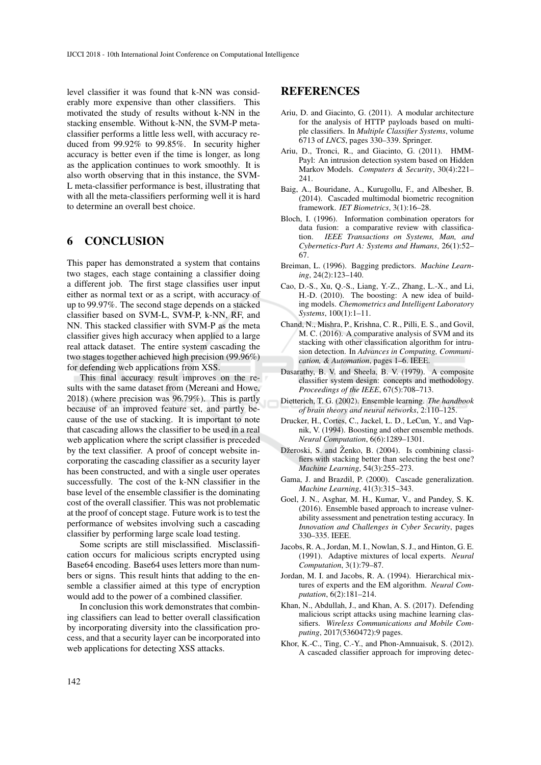level classifier it was found that k-NN was considerably more expensive than other classifiers. This motivated the study of results without k-NN in the stacking ensemble. Without k-NN, the SVM-P metaclassifier performs a little less well, with accuracy reduced from 99.92% to 99.85%. In security higher accuracy is better even if the time is longer, as long as the application continues to work smoothly. It is also worth observing that in this instance, the SVM-L meta-classifier performance is best, illustrating that with all the meta-classifiers performing well it is hard to determine an overall best choice.

## 6 CONCLUSION

This paper has demonstrated a system that contains two stages, each stage containing a classifier doing a different job. The first stage classifies user input either as normal text or as a script, with accuracy of up to 99.97%. The second stage depends on a stacked classifier based on SVM-L, SVM-P, k-NN, RF, and NN. This stacked classifier with SVM-P as the meta classifier gives high accuracy when applied to a large real attack dataset. The entire system cascading the two stages together achieved high precision (99.96%) for defending web applications from XSS.

This final accuracy result improves on the results with the same dataset from (Mereani and Howe, 2018) (where precision was 96.79%). This is partly because of an improved feature set, and partly because of the use of stacking. It is important to note that cascading allows the classifier to be used in a real web application where the script classifier is preceded by the text classifier. A proof of concept website incorporating the cascading classifier as a security layer has been constructed, and with a single user operates successfully. The cost of the k-NN classifier in the base level of the ensemble classifier is the dominating cost of the overall classifier. This was not problematic at the proof of concept stage. Future work is to test the performance of websites involving such a cascading classifier by performing large scale load testing.

Some scripts are still misclassified. Misclassification occurs for malicious scripts encrypted using Base64 encoding. Base64 uses letters more than numbers or signs. This result hints that adding to the ensemble a classifier aimed at this type of encryption would add to the power of a combined classifier.

In conclusion this work demonstrates that combining classifiers can lead to better overall classification by incorporating diversity into the classification process, and that a security layer can be incorporated into web applications for detecting XSS attacks.

## REFERENCES

- Ariu, D. and Giacinto, G. (2011). A modular architecture for the analysis of HTTP payloads based on multiple classifiers. In *Multiple Classifier Systems*, volume 6713 of *LNCS*, pages 330–339. Springer.
- Ariu, D., Tronci, R., and Giacinto, G. (2011). HMM-Payl: An intrusion detection system based on Hidden Markov Models. *Computers & Security*, 30(4):221– 241.
- Baig, A., Bouridane, A., Kurugollu, F., and Albesher, B. (2014). Cascaded multimodal biometric recognition framework. *IET Biometrics*, 3(1):16–28.
- Bloch, I. (1996). Information combination operators for data fusion: a comparative review with classification. *IEEE Transactions on Systems, Man, and Cybernetics-Part A: Systems and Humans*, 26(1):52– 67.
- Breiman, L. (1996). Bagging predictors. *Machine Learning*, 24(2):123–140.
- Cao, D.-S., Xu, Q.-S., Liang, Y.-Z., Zhang, L.-X., and Li, H.-D. (2010). The boosting: A new idea of building models. *Chemometrics and Intelligent Laboratory Systems*, 100(1):1–11.
- Chand, N., Mishra, P., Krishna, C. R., Pilli, E. S., and Govil, M. C. (2016). A comparative analysis of SVM and its stacking with other classification algorithm for intrusion detection. In *Advances in Computing, Communication, & Automation*, pages 1–6. IEEE.
- Dasarathy, B. V. and Sheela, B. V. (1979). A composite classifier system design: concepts and methodology. *Proceedings of the IEEE*, 67(5):708–713.
- Dietterich, T. G. (2002). Ensemble learning. *The handbook of brain theory and neural networks*, 2:110–125.
- Drucker, H., Cortes, C., Jackel, L. D., LeCun, Y., and Vapnik, V. (1994). Boosting and other ensemble methods. *Neural Computation*, 6(6):1289–1301.
- Džeroski, S. and Ženko, B. (2004). Is combining classifiers with stacking better than selecting the best one? *Machine Learning*, 54(3):255–273.
- Gama, J. and Brazdil, P. (2000). Cascade generalization. *Machine Learning*, 41(3):315–343.
- Goel, J. N., Asghar, M. H., Kumar, V., and Pandey, S. K. (2016). Ensemble based approach to increase vulnerability assessment and penetration testing accuracy. In *Innovation and Challenges in Cyber Security*, pages 330–335. IEEE.
- Jacobs, R. A., Jordan, M. I., Nowlan, S. J., and Hinton, G. E. (1991). Adaptive mixtures of local experts. *Neural Computation*, 3(1):79–87.
- Jordan, M. I. and Jacobs, R. A. (1994). Hierarchical mixtures of experts and the EM algorithm. *Neural Computation*, 6(2):181–214.
- Khan, N., Abdullah, J., and Khan, A. S. (2017). Defending malicious script attacks using machine learning classifiers. *Wireless Communications and Mobile Computing*, 2017(5360472):9 pages.
- Khor, K.-C., Ting, C.-Y., and Phon-Amnuaisuk, S. (2012). A cascaded classifier approach for improving detec-